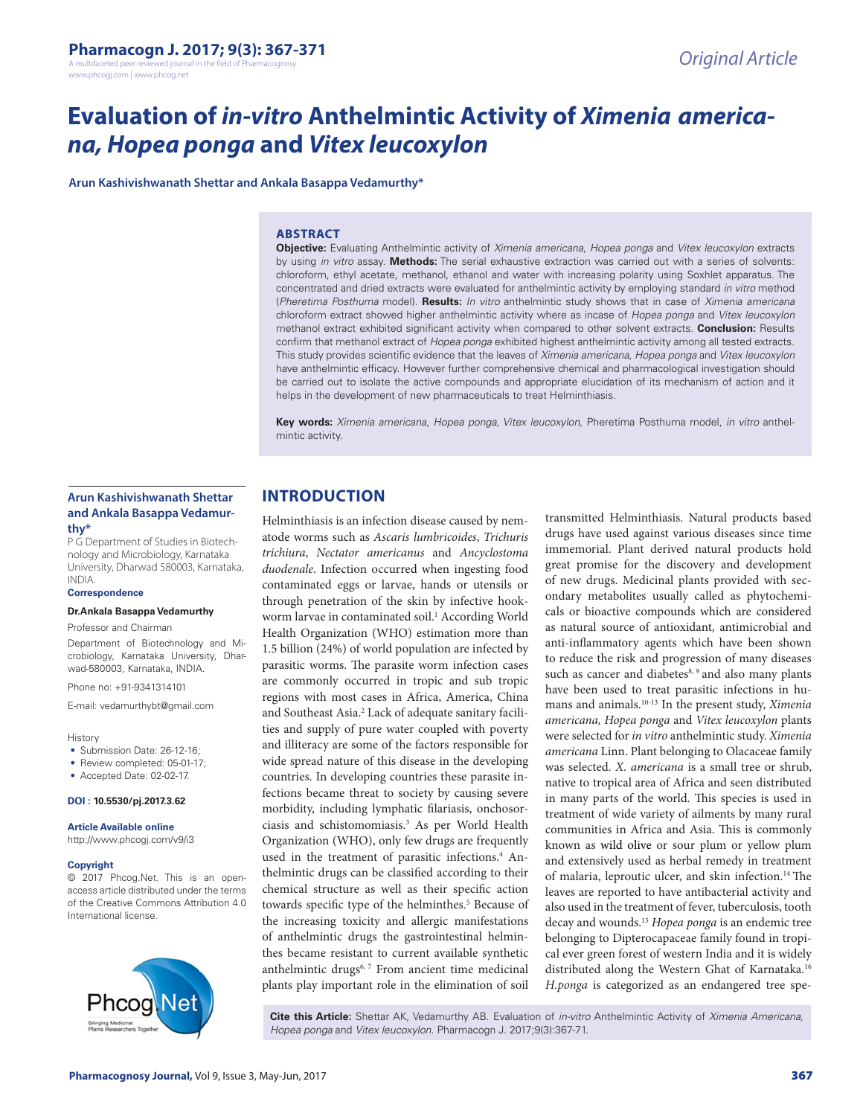A multifaceted peer reviewed journal in the field of Pharmacod www.phcogj.com | www.phcog.net

# **Evaluation of** *in-vitro* **Anthelmintic Activity of** *Ximenia americana, Hopea ponga* **and** *Vitex leucoxylon*

**Arun Kashivishwanath Shettar and Ankala Basappa Vedamurthy\***

#### **ABSTRACT**

**Objective:** Evaluating Anthelmintic activity of Ximenia americana, *Hopea ponga* and *Vitex leucoxylon* extracts by using *in vitro* assay. **Methods:** The serial exhaustive extraction was carried out with a series of solvents: chloroform, ethyl acetate, methanol, ethanol and water with increasing polarity using Soxhlet apparatus. The concentrated and dried extracts were evaluated for anthelmintic activity by employing standard *in vitro* method (*Pheretima Posthuma* model). **Results:** *In vitro* anthelmintic study shows that in case of Ximenia americana chloroform extract showed higher anthelmintic activity where as incase of Hopea ponga and *Vitex leucoxylon*  methanol extract exhibited significant activity when compared to other solvent extracts. **Conclusion:** Results confirm that methanol extract of *Hopea ponga* exhibited highest anthelmintic activity among all tested extracts. This study provides scientific evidence that the leaves of *Ximenia americana*, *Hopea ponga* and *Vitex leucoxylon*  have anthelmintic efficacy. However further comprehensive chemical and pharmacological investigation should be carried out to isolate the active compounds and appropriate elucidation of its mechanism of action and it helps in the development of new pharmaceuticals to treat Helminthiasis.

**Key words:** Ximenia americana, Hopea ponga, Vitex leucoxylon, Pheretima Posthuma model, *in vitro* anthelmintic activity.

#### **Arun Kashivishwanath Shettar and Ankala Basappa Vedamurthy\***

P G Department of Studies in Biotechnology and Microbiology, Karnataka University, Dharwad 580003, Karnataka, INDIA.

#### **Correspondence**

#### **Dr.Ankala Basappa Vedamurthy**

Professor and Chairman

Department of Biotechnology and Microbiology, Karnataka University, Dharwad-580003, Karnataka, INDIA.

Phone no: +91-9341314101

E-mail: vedamurthybt@gmail.com

**History** 

- Submission Date: 26-12-16;
- Review completed: 05-01-17;
- Accepted Date: 02-02-17.

#### **DOI : 10.5530/pj.2017.3.62**

**Article Available online** 

## http://www.phcogj.com/v9/i3

#### **Copyright**

© 2017 Phcog.Net. This is an openaccess article distributed under the terms of the Creative Commons Attribution 4.0 International license.



# **INTRODUCTION**

Helminthiasis is an infection disease caused by nematode worms such as *Ascaris lumbricoides*, *Trichuris trichiura*, *Nectator americanus* and *Ancyclostoma duodenale*. Infection occurred when ingesting food contaminated eggs or larvae, hands or utensils or through penetration of the skin by infective hookworm larvae in contaminated soil.<sup>1</sup> According World Health Organization (WHO) estimation more than 1.5 billion (24%) of world population are infected by parasitic worms. The parasite worm infection cases are commonly occurred in tropic and sub tropic regions with most cases in Africa, America, China and Southeast Asia.<sup>2</sup> Lack of adequate sanitary facilities and supply of pure water coupled with poverty and illiteracy are some of the factors responsible for wide spread nature of this disease in the developing countries. In developing countries these parasite infections became threat to society by causing severe morbidity, including lymphatic filariasis, onchosorciasis and schistomomiasis.3 As per World Health Organization (WHO), only few drugs are frequently used in the treatment of parasitic infections.<sup>4</sup> Anthelmintic drugs can be classified according to their chemical structure as well as their specific action towards specific type of the helminthes.<sup>5</sup> Because of the increasing toxicity and allergic manifestations of anthelmintic drugs the gastrointestinal helminthes became resistant to current available synthetic anthelmintic drugs<sup>6, 7</sup> From ancient time medicinal plants play important role in the elimination of soil

transmitted Helminthiasis. Natural products based drugs have used against various diseases since time immemorial. Plant derived natural products hold great promise for the discovery and development of new drugs. Medicinal plants provided with secondary metabolites usually called as phytochemicals or bioactive compounds which are considered as natural source of antioxidant, antimicrobial and anti-inflammatory agents which have been shown to reduce the risk and progression of many diseases such as cancer and diabetes<sup>8, 9</sup> and also many plants have been used to treat parasitic infections in humans and animals.10-13 In the present study, *Ximenia americana, Hopea ponga* and *Vitex leucoxylon* plants were selected for *in vitro* anthelmintic study. *Ximenia americana* Linn. Plant belonging to Olacaceae family was selected. *X. americana* is a small tree or shrub, native to tropical area of Africa and seen distributed in many parts of the world. This species is used in treatment of wide variety of ailments by many rural communities in Africa and Asia. This is commonly known as wild olive or sour plum or yellow plum and extensively used as herbal remedy in treatment of malaria, leproutic ulcer, and skin infection.14 The leaves are reported to have antibacterial activity and also used in the treatment of fever, tuberculosis, tooth decay and wounds.15 *Hopea ponga* is an endemic tree belonging to Dipterocapaceae family found in tropical ever green forest of western India and it is widely distributed along the Western Ghat of Karnataka.16 *H.ponga* is categorized as an endangered tree spe-

**Cite this Article:** Shettar AK, Vedamurthy AB. Evaluation of *in-vitro* Anthelmintic Activity of *Ximenia Americana, Hopea ponga* and *Vitex leucoxylon*. Pharmacogn J. 2017;9(3):367-71.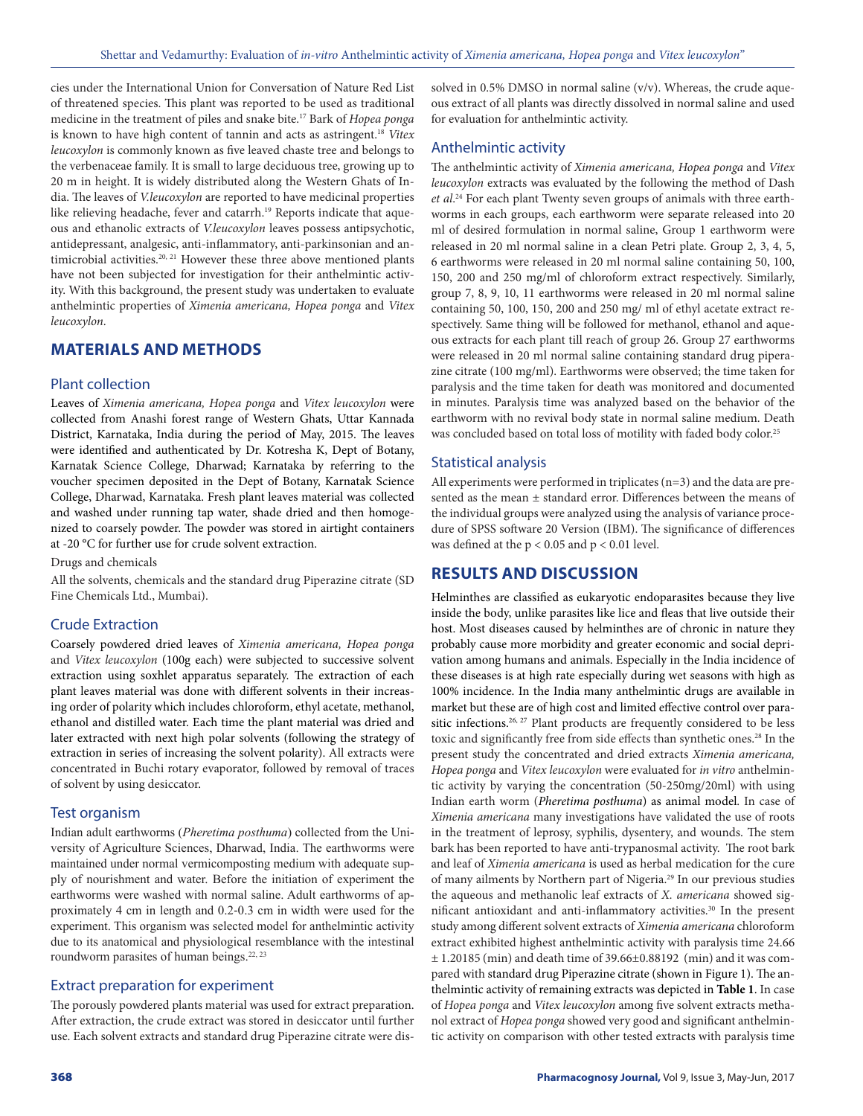cies under the International Union for Conversation of Nature Red List of threatened species. This plant was reported to be used as traditional medicine in the treatment of piles and snake bite.17 Bark of *Hopea ponga* is known to have high content of tannin and acts as astringent.18 *Vitex leucoxylon* is commonly known as five leaved chaste tree and belongs to the verbenaceae family. It is small to large deciduous tree, growing up to 20 m in height. It is widely distributed along the Western Ghats of India. The leaves of *V.leucoxylon* are reported to have medicinal properties like relieving headache, fever and catarrh.<sup>19</sup> Reports indicate that aqueous and ethanolic extracts of *V.leucoxylon* leaves possess antipsychotic, antidepressant, analgesic, anti-inflammatory, anti-parkinsonian and antimicrobial activities.<sup>20, 21</sup> However these three above mentioned plants have not been subjected for investigation for their anthelmintic activity. With this background, the present study was undertaken to evaluate anthelmintic properties of *Ximenia americana, Hopea ponga* and *Vitex leucoxylon*.

## **MATERIALS AND METHODS**

#### Plant collection

Leaves of *Ximenia americana, Hopea ponga* and *Vitex leucoxylon* were collected from Anashi forest range of Western Ghats, Uttar Kannada District, Karnataka, India during the period of May, 2015. The leaves were identified and authenticated by Dr. Kotresha K, Dept of Botany, Karnatak Science College, Dharwad; Karnataka by referring to the voucher specimen deposited in the Dept of Botany, Karnatak Science College, Dharwad, Karnataka. Fresh plant leaves material was collected and washed under running tap water, shade dried and then homogenized to coarsely powder. The powder was stored in airtight containers at -20 °C for further use for crude solvent extraction.

Drugs and chemicals

All the solvents, chemicals and the standard drug Piperazine citrate (SD Fine Chemicals Ltd., Mumbai).

## Crude Extraction

Coarsely powdered dried leaves of *Ximenia americana, Hopea ponga*  and *Vitex leucoxylon* (100g each) were subjected to successive solvent extraction using soxhlet apparatus separately. The extraction of each plant leaves material was done with different solvents in their increasing order of polarity which includes chloroform, ethyl acetate, methanol, ethanol and distilled water. Each time the plant material was dried and later extracted with next high polar solvents (following the strategy of extraction in series of increasing the solvent polarity). All extracts were concentrated in Buchi rotary evaporator, followed by removal of traces of solvent by using desiccator.

## Test organism

Indian adult earthworms (*Pheretima posthuma*) collected from the University of Agriculture Sciences, Dharwad, India. The earthworms were maintained under normal vermicomposting medium with adequate supply of nourishment and water. Before the initiation of experiment the earthworms were washed with normal saline. Adult earthworms of approximately 4 cm in length and 0.2‐0.3 cm in width were used for the experiment. This organism was selected model for anthelmintic activity due to its anatomical and physiological resemblance with the intestinal roundworm parasites of human beings.<sup>22, 23</sup>

## Extract preparation for experiment

The porously powdered plants material was used for extract preparation. After extraction, the crude extract was stored in desiccator until further use. Each solvent extracts and standard drug Piperazine citrate were dissolved in 0.5% DMSO in normal saline (v/v). Whereas, the crude aqueous extract of all plants was directly dissolved in normal saline and used for evaluation for anthelmintic activity.

## Anthelmintic activity

The anthelmintic activity of *Ximenia americana, Hopea ponga* and *Vitex leucoxylon* extracts was evaluated by the following the method of Dash *et al*. 24 For each plant Twenty seven groups of animals with three earthworms in each groups, each earthworm were separate released into 20 ml of desired formulation in normal saline, Group 1 earthworm were released in 20 ml normal saline in a clean Petri plate. Group 2, 3, 4, 5, 6 earthworms were released in 20 ml normal saline containing 50, 100, 150, 200 and 250 mg/ml of chloroform extract respectively. Similarly, group 7, 8, 9, 10, 11 earthworms were released in 20 ml normal saline containing 50, 100, 150, 200 and 250 mg/ ml of ethyl acetate extract respectively. Same thing will be followed for methanol, ethanol and aqueous extracts for each plant till reach of group 26. Group 27 earthworms were released in 20 ml normal saline containing standard drug piperazine citrate (100 mg/ml). Earthworms were observed; the time taken for paralysis and the time taken for death was monitored and documented in minutes. Paralysis time was analyzed based on the behavior of the earthworm with no revival body state in normal saline medium. Death was concluded based on total loss of motility with faded body color.<sup>25</sup>

## Statistical analysis

All experiments were performed in triplicates (n=3) and the data are presented as the mean ± standard error. Differences between the means of the individual groups were analyzed using the analysis of variance procedure of SPSS software 20 Version (IBM). The significance of differences was defined at the  $p < 0.05$  and  $p < 0.01$  level.

# **RESULTS AND DISCUSSION**

Helminthes are classified as eukaryotic endoparasites because they live inside the body, unlike parasites like lice and fleas that live outside their host. Most diseases caused by helminthes are of chronic in nature they probably cause more morbidity and greater economic and social deprivation among humans and animals. Especially in the India incidence of these diseases is at high rate especially during wet seasons with high as 100% incidence. In the India many anthelmintic drugs are available in market but these are of high cost and limited effective control over parasitic infections.<sup>26, 27</sup> Plant products are frequently considered to be less toxic and significantly free from side effects than synthetic ones.<sup>28</sup> In the present study the concentrated and dried extracts *Ximenia americana, Hopea ponga* and *Vitex leucoxylon* were evaluated for *in vitro* anthelmintic activity by varying the concentration (50-250mg/20ml) with using Indian earth worm (*Pheretima posthuma*) as animal model. In case of *Ximenia americana* many investigations have validated the use of roots in the treatment of leprosy, syphilis, dysentery, and wounds. The stem bark has been reported to have anti-trypanosmal activity. The root bark and leaf of *Ximenia americana* is used as herbal medication for the cure of many ailments by Northern part of Nigeria.<sup>29</sup> In our previous studies the aqueous and methanolic leaf extracts of *X. americana* showed significant antioxidant and anti-inflammatory activities.30 In the present study among different solvent extracts of *Ximenia americana* chloroform extract exhibited highest anthelmintic activity with paralysis time 24.66 ± 1.20185 (min) and death time of 39.66±0.88192 (min) and it was compared with standard drug Piperazine citrate (shown in Figure 1). The anthelmintic activity of remaining extracts was depicted in **Table 1**. In case of *Hopea ponga* and *Vitex leucoxylon* among five solvent extracts methanol extract of *Hopea ponga* showed very good and significant anthelmintic activity on comparison with other tested extracts with paralysis time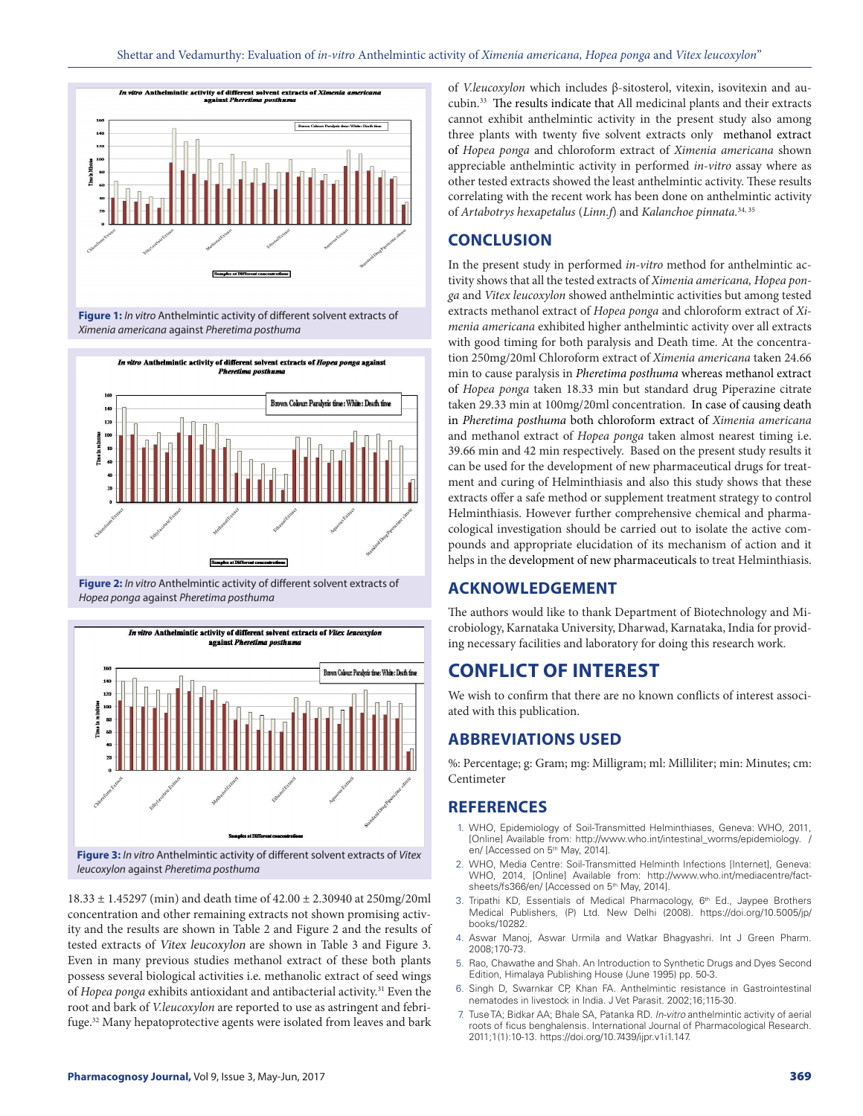

**Figure 1:** *In vitro* Anthelmintic activity of different solvent extracts of *Ximenia americana* against *Pheretima posthuma*



**Figure 2:** *In vitro* Anthelmintic activity of different solvent extracts of *Hopea ponga* against *Pheretima posthuma*



*leucoxylon* against *Pheretima posthuma*

18.33 ± 1.45297 (min) and death time of 42.00 ± 2.30940 at 250mg/20ml concentration and other remaining extracts not shown promising activity and the results are shown in Table 2 and Figure 2 and the results of tested extracts of Vitex leucoxylon are shown in Table 3 and Figure 3. Even in many previous studies methanol extract of these both plants possess several biological activities i.e. methanolic extract of seed wings of *Hopea ponga* exhibits antioxidant and antibacterial activity.<sup>31</sup> Even the root and bark of *V.leucoxylon* are reported to use as astringent and febrifuge.32 Many hepatoprotective agents were isolated from leaves and bark

of *V.leucoxylon* which includes β-sitosterol, vitexin, isovitexin and aucubin.33 The results indicate that All medicinal plants and their extracts cannot exhibit anthelmintic activity in the present study also among three plants with twenty five solvent extracts only methanol extract of *Hopea ponga* and chloroform extract of *Ximenia americana* shown appreciable anthelmintic activity in performed *in-vitro* assay where as other tested extracts showed the least anthelmintic activity. These results correlating with the recent work has been done on anthelmintic activity of *Artabotrys hexapetalus* (*Linn.f*) and *Kalanchoe pinnata.*34, 35

## **CONCLUSION**

In the present study in performed *in-vitro* method for anthelmintic activity shows that all the tested extracts of *Ximenia americana, Hopea ponga* and *Vitex leucoxylon* showed anthelmintic activities but among tested extracts methanol extract of *Hopea ponga* and chloroform extract of *Ximenia americana* exhibited higher anthelmintic activity over all extracts with good timing for both paralysis and Death time. At the concentration 250mg/20ml Chloroform extract of *Ximenia americana* taken 24.66 min to cause paralysis in *Pheretima posthuma* whereas methanol extract of *Hopea ponga* taken 18.33 min but standard drug Piperazine citrate taken 29.33 min at 100mg/20ml concentration. In case of causing death in *Pheretima posthuma* both chloroform extract of *Ximenia americana* and methanol extract of *Hopea ponga* taken almost nearest timing i.e. 39.66 min and 42 min respectively. Based on the present study results it can be used for the development of new pharmaceutical drugs for treatment and curing of Helminthiasis and also this study shows that these extracts offer a safe method or supplement treatment strategy to control Helminthiasis. However further comprehensive chemical and pharmacological investigation should be carried out to isolate the active compounds and appropriate elucidation of its mechanism of action and it helps in the development of new pharmaceuticals to treat Helminthiasis.

# **ACKNOWLEDGEMENT**

The authors would like to thank Department of Biotechnology and Microbiology, Karnataka University, Dharwad, Karnataka, India for providing necessary facilities and laboratory for doing this research work.

# **CONFLICT OF INTEREST**

We wish to confirm that there are no known conflicts of interest associated with this publication.

## **ABBREVIATIONS USED**

%: Percentage; g: Gram; mg: Milligram; ml: Milliliter; min: Minutes; cm: Centimeter

## **REFERENCES**

- 1. WHO, Epidemiology of Soil-Transmitted Helminthiases, Geneva: WHO, 2011, [Online] Available from: http://www.who.int/intestinal\_worms/epidemiology. / en/ [Accessed on 5<sup>th</sup> May, 2014].
- 2. WHO, Media Centre: Soil-Transmitted Helminth Infections [Internet], Geneva: WHO, 2014, [Online] Available from: http://www.who.int/mediacentre/factsheets/fs366/en/ [Accessed on 5<sup>th</sup> May, 2014].
- 3. Tripathi KD, Essentials of Medical Pharmacology, 6<sup>th</sup> Ed., Jaypee Brothers Medical Publishers, (P) Ltd. New Delhi (2008). https://doi.org/10.5005/jp/ books/10282.
- 4. Aswar Manoj, Aswar Urmila and Watkar Bhagyashri. Int J Green Pharm. 2008;170-73.
- 5. Rao, Chawathe and Shah. An Introduction to Synthetic Drugs and Dyes Second Edition, Himalaya Publishing House (June 1995) pp. 50-3.
- 6. Singh D, Swarnkar CP, Khan FA. Anthelmintic resistance in Gastrointestinal nematodes in livestock in India. J Vet Parasit. 2002;16;115-30.
- 7. Tuse TA; Bidkar AA; Bhale SA, Patanka RD. *In-vitro* anthelmintic activity of aerial roots of ficus benghalensis. International Journal of Pharmacological Research. 2011;1(1):10-13. https://doi.org/10.7439/ijpr.v1i1.147.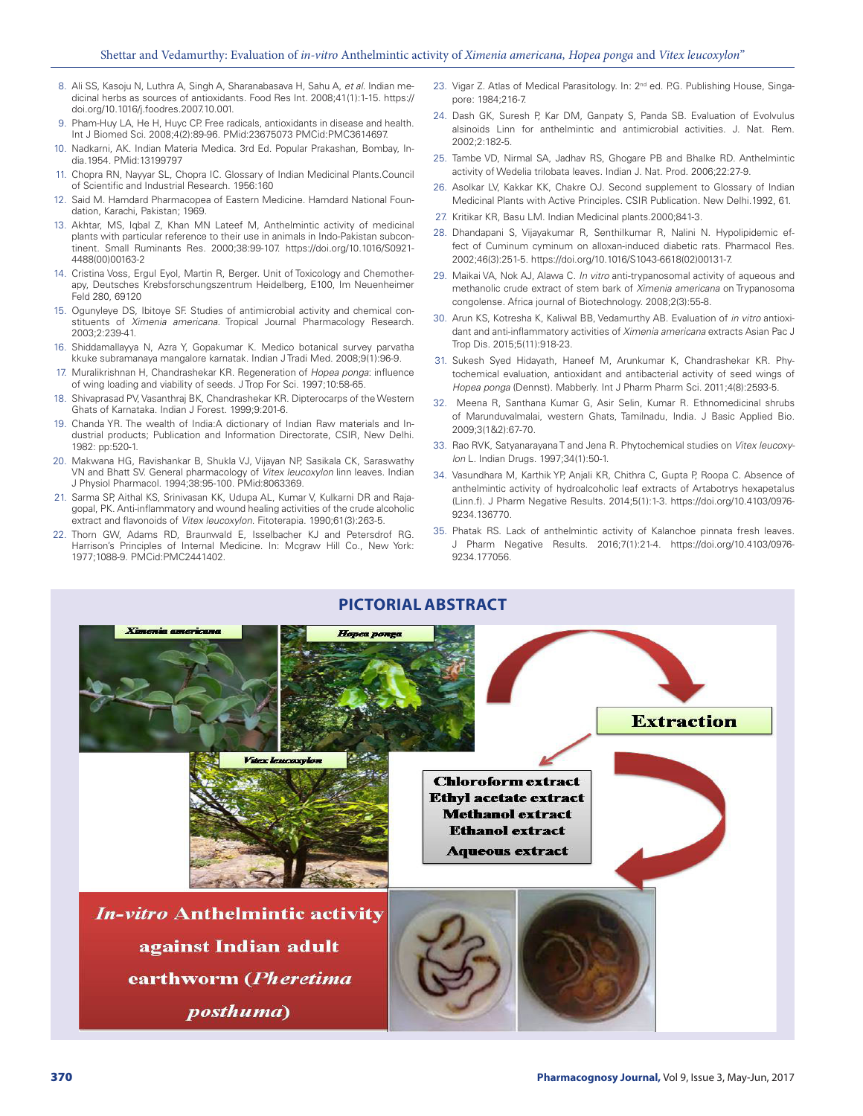- 8. Ali SS, Kasoju N, Luthra A, Singh A, Sharanabasava H, Sahu A, *et al*. Indian medicinal herbs as sources of antioxidants. Food Res Int. 2008;41(1):1-15. https:// doi.org/10.1016/j.foodres.2007.10.001.
- 9. Pham-Huy LA, He H, Huyc CP. Free radicals, antioxidants in disease and health. Int J Biomed Sci. 2008;4(2):89-96. PMid:23675073 PMCid:PMC3614697.
- 10. Nadkarni, AK. Indian Materia Medica. 3rd Ed. Popular Prakashan, Bombay, India.1954. PMid:13199797
- 11. Chopra RN, Nayyar SL, Chopra IC. Glossary of Indian Medicinal Plants.Council of Scientific and Industrial Research. 1956:160
- 12. Said M. Hamdard Pharmacopea of Eastern Medicine. Hamdard National Foundation, Karachi, Pakistan; 1969.
- 13. Akhtar, MS, Iqbal Z, Khan MN Lateef M, Anthelmintic activity of medicinal plants with particular reference to their use in animals in Indo-Pakistan subcontinent. Small Ruminants Res. 2000;38:99-107. https://doi.org/10.1016/S0921- 4488(00)00163-2
- 14. Cristina Voss, Ergul Eyol, Martin R, Berger. Unit of Toxicology and Chemotherapy, Deutsches Krebsforschungszentrum Heidelberg, E100, Im Neuenheimer Feld 280, 69120
- 15. Ogunyleye DS, Ibitoye SF. Studies of antimicrobial activity and chemical constituents of Ximenia americana. Tropical Journal Pharmacology Research. 2003;2:239-41.
- 16. Shiddamallayya N, Azra Y, Gopakumar K. Medico botanical survey parvatha kkuke subramanaya mangalore karnatak. Indian J Tradi Med. 2008;9(1):96-9.
- 17. Muralikrishnan H, Chandrashekar KR. Regeneration of Hopea ponga: influence of wing loading and viability of seeds. J Trop For Sci. 1997;10:58-65.
- 18. Shivaprasad PV, Vasanthraj BK, Chandrashekar KR. Dipterocarps of the Western Ghats of Karnataka. Indian J Forest. 1999;9:201-6.
- 19. Chanda YR. The wealth of India:A dictionary of Indian Raw materials and Industrial products; Publication and Information Directorate, CSIR, New Delhi. 1982: pp:520-1.
- 20. Makwana HG, Ravishankar B, Shukla VJ, Vijayan NP, Sasikala CK, Saraswathy VN and Bhatt SV. General pharmacology of Vitex leucoxylon linn leaves. Indian J Physiol Pharmacol. 1994;38:95-100. PMid:8063369.
- 21. Sarma SP, Aithal KS, Srinivasan KK, Udupa AL, Kumar V, Kulkarni DR and Rajagopal, PK. Anti-inflammatory and wound healing activities of the crude alcoholic extract and flavonoids of Vitex leucoxylon. Fitoterapia. 1990;61(3):263-5.
- 22. Thorn GW, Adams RD, Braunwald E, Isselbacher KJ and Petersdrof RG. Harrison's Principles of Internal Medicine. In: Mcgraw Hill Co., New York: 1977;1088‐9. PMCid:PMC2441402.
- 23. Vigar Z. Atlas of Medical Parasitology. In: 2<sup>nd</sup> ed. P.G. Publishing House, Singapore: 1984;216‐7.
- 24. Dash GK, Suresh P, Kar DM, Ganpaty S, Panda SB. Evaluation of Evolvulus alsinoids Linn for anthelmintic and antimicrobial activities. J. Nat. Rem. 2002;2:182-5.
- 25. Tambe VD, Nirmal SA, Jadhav RS, Ghogare PB and Bhalke RD. Anthelmintic activity of Wedelia trilobata leaves. Indian J. Nat. Prod. 2006;22:27-9.
- 26. Asolkar LV, Kakkar KK, Chakre OJ. Second supplement to Glossary of Indian Medicinal Plants with Active Principles. CSIR Publication. New Delhi.1992, 61.
- 27. Kritikar KR, Basu LM. Indian Medicinal plants.2000;841-3.
- 28. Dhandapani S, Vijayakumar R, Senthilkumar R, Nalini N. Hypolipidemic effect of Cuminum cyminum on alloxan-induced diabetic rats. Pharmacol Res. 2002;46(3):251-5. https://doi.org/10.1016/S1043-6618(02)00131-7.
- 29. Maikai VA, Nok AJ, Alawa C. *In vitro* anti-trypanosomal activity of aqueous and methanolic crude extract of stem bark of Ximenia americana on Trypanosoma congolense. Africa journal of Biotechnology. 2008;2(3):55-8.
- 30. Arun KS, Kotresha K, Kaliwal BB, Vedamurthy AB. Evaluation of *in vitro* antioxidant and anti-inflammatory activities of Ximenia americana extracts Asian Pac J Trop Dis. 2015;5(11):918-23.
- 31. Sukesh Syed Hidayath, Haneef M, Arunkumar K, Chandrashekar KR. Phytochemical evaluation, antioxidant and antibacterial activity of seed wings of Hopea ponga (Dennst). Mabberly. Int J Pharm Pharm Sci. 2011;4(8):2593-5.
- 32. Meena R, Santhana Kumar G, Asir Selin, Kumar R. Ethnomedicinal shrubs of Marunduvalmalai, western Ghats, Tamilnadu, India. J Basic Applied Bio. 2009;3(1&2):67-70.
- 33. Rao RVK, Satyanarayana T and Jena R. Phytochemical studies on Vitex leucoxylon L. Indian Drugs. 1997;34(1):50-1.
- 34. Vasundhara M, Karthik YP, Anjali KR, Chithra C, Gupta P, Roopa C. Absence of anthelmintic activity of hydroalcoholic leaf extracts of Artabotrys hexapetalus (Linn.f). J Pharm Negative Results. 2014;5(1):1-3. https://doi.org/10.4103/0976- 9234.136770.
- 35. Phatak RS. Lack of anthelmintic activity of Kalanchoe pinnata fresh leaves. J Pharm Negative Results. 2016;7(1):21-4. https://doi.org/10.4103/0976- 9234.177056.